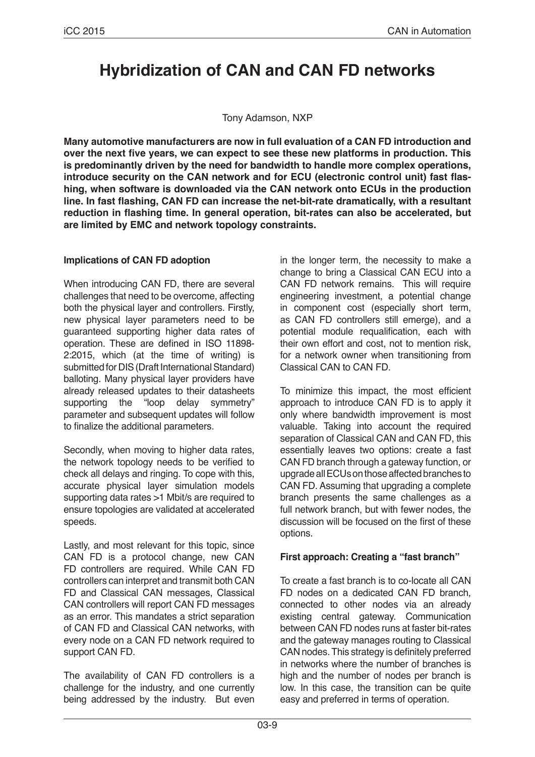# **Hybridization of CAN and CAN FD networks**

#### Tony Adamson, NXP

**Many automotive manufacturers are now in full evaluation of a CAN FD introduction and over the next five years, we can expect to see these new platforms in production. This is predominantly driven by the need for bandwidth to handle more complex operations, introduce security on the CAN network and for ECU (electronic control unit) fast flashing, when software is downloaded via the CAN network onto ECUs in the production line. In fast flashing, CAN FD can increase the net-bit-rate dramatically, with a resultant reduction in flashing time. In general operation, bit-rates can also be accelerated, but are limited by EMC and network topology constraints.**

#### **Implications of CAN FD adoption**

When introducing CAN FD, there are several challenges that need to be overcome, affecting both the physical layer and controllers. Firstly, new physical layer parameters need to be guaranteed supporting higher data rates of operation. These are defined in ISO 11898- 2:2015, which (at the time of writing) is submitted for DIS (Draft International Standard) balloting. Many physical layer providers have already released updates to their datasheets supporting the "loop delay symmetry" parameter and subsequent updates will follow to finalize the additional parameters.

Secondly, when moving to higher data rates, the network topology needs to be verified to check all delays and ringing. To cope with this, accurate physical layer simulation models supporting data rates >1 Mbit/s are required to ensure topologies are validated at accelerated speeds.

Lastly, and most relevant for this topic, since CAN FD is a protocol change, new CAN FD controllers are required. While CAN FD controllers can interpret and transmit both CAN FD and Classical CAN messages, Classical CAN controllers will report CAN FD messages as an error. This mandates a strict separation of CAN FD and Classical CAN networks, with every node on a CAN FD network required to support CAN FD.

The availability of CAN FD controllers is a challenge for the industry, and one currently being addressed by the industry. But even in the longer term, the necessity to make a change to bring a Classical CAN ECU into a CAN FD network remains. This will require engineering investment, a potential change in component cost (especially short term, as CAN FD controllers still emerge), and a potential module requalification, each with their own effort and cost, not to mention risk, for a network owner when transitioning from Classical CAN to CAN FD.

To minimize this impact, the most efficient approach to introduce CAN FD is to apply it only where bandwidth improvement is most valuable. Taking into account the required separation of Classical CAN and CAN FD, this essentially leaves two options: create a fast CAN FD branch through a gateway function, or upgrade all ECUs on those affected branches to CAN FD. Assuming that upgrading a complete branch presents the same challenges as a full network branch, but with fewer nodes, the discussion will be focused on the first of these options.

## **First approach: Creating a "fast branch"**

To create a fast branch is to co-locate all CAN FD nodes on a dedicated CAN FD branch, connected to other nodes via an already existing central gateway. Communication between CAN FD nodes runs at faster bit-rates and the gateway manages routing to Classical CAN nodes. This strategy is definitely preferred in networks where the number of branches is high and the number of nodes per branch is low. In this case, the transition can be quite easy and preferred in terms of operation.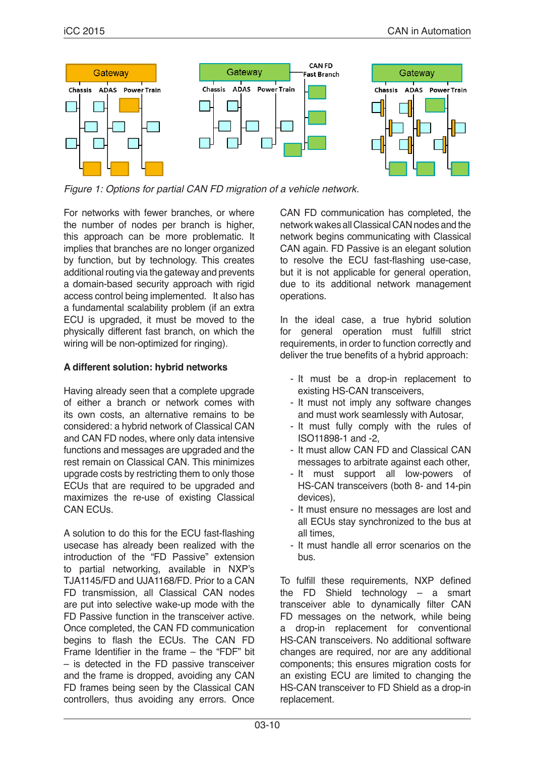

*Figure 1: Options for partial CAN FD migration of a vehicle network.*

For networks with fewer branches, or where the number of nodes per branch is higher, this approach can be more problematic. It implies that branches are no longer organized by function, but by technology. This creates additional routing via the gateway and prevents a domain-based security approach with rigid access control being implemented. It also has a fundamental scalability problem (if an extra ECU is upgraded, it must be moved to the physically different fast branch, on which the wiring will be non-optimized for ringing).

## **A different solution: hybrid networks**

Having already seen that a complete upgrade of either a branch or network comes with its own costs, an alternative remains to be considered: a hybrid network of Classical CAN and CAN FD nodes, where only data intensive functions and messages are upgraded and the rest remain on Classical CAN. This minimizes upgrade costs by restricting them to only those ECUs that are required to be upgraded and maximizes the re-use of existing Classical CAN FCU<sub>S</sub>

A solution to do this for the ECU fast-flashing usecase has already been realized with the introduction of the "FD Passive" extension to partial networking, available in NXP's TJA1145/FD and UJA1168/FD. Prior to a CAN FD transmission, all Classical CAN nodes are put into selective wake-up mode with the FD Passive function in the transceiver active. Once completed, the CAN FD communication begins to flash the ECUs. The CAN FD Frame Identifier in the frame – the "FDF" bit – is detected in the FD passive transceiver and the frame is dropped, avoiding any CAN FD frames being seen by the Classical CAN controllers, thus avoiding any errors. Once CAN FD communication has completed, the network wakes all Classical CAN nodes and the network begins communicating with Classical CAN again. FD Passive is an elegant solution to resolve the ECU fast-flashing use-case, but it is not applicable for general operation, due to its additional network management operations.

In the ideal case, a true hybrid solution for general operation must fulfill strict requirements, in order to function correctly and deliver the true benefits of a hybrid approach:

- It must be a drop-in replacement to existing HS-CAN transceivers,
- It must not imply any software changes and must work seamlessly with Autosar,
- It must fully comply with the rules of ISO11898-1 and -2,
- It must allow CAN FD and Classical CAN messages to arbitrate against each other,
- It must support all low-powers of HS-CAN transceivers (both 8- and 14-pin devices),
- It must ensure no messages are lost and all ECUs stay synchronized to the bus at all times,
- It must handle all error scenarios on the bus.

To fulfill these requirements, NXP defined the FD Shield technology – a smart transceiver able to dynamically filter CAN FD messages on the network, while being a drop-in replacement for conventional HS-CAN transceivers. No additional software changes are required, nor are any additional components; this ensures migration costs for an existing ECU are limited to changing the HS-CAN transceiver to FD Shield as a drop-in replacement.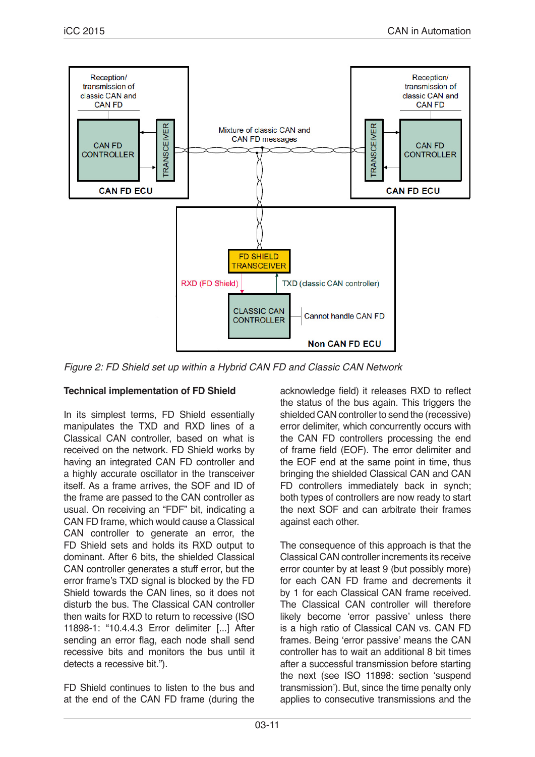

*Figure 2: FD Shield set up within a Hybrid CAN FD and Classic CAN Network*

# **Technical implementation of FD Shield**

In its simplest terms, FD Shield essentially manipulates the TXD and RXD lines of a Classical CAN controller, based on what is received on the network. FD Shield works by having an integrated CAN FD controller and a highly accurate oscillator in the transceiver itself. As a frame arrives, the SOF and ID of the frame are passed to the CAN controller as usual. On receiving an "FDF" bit, indicating a CAN FD frame, which would cause a Classical CAN controller to generate an error, the FD Shield sets and holds its RXD output to dominant. After 6 bits, the shielded Classical CAN controller generates a stuff error, but the error frame's TXD signal is blocked by the FD Shield towards the CAN lines, so it does not disturb the bus. The Classical CAN controller then waits for RXD to return to recessive (ISO 11898-1: "10.4.4.3 Error delimiter [...] After sending an error flag, each node shall send recessive bits and monitors the bus until it detects a recessive bit.").

FD Shield continues to listen to the bus and at the end of the CAN FD frame (during the

acknowledge field) it releases RXD to reflect the status of the bus again. This triggers the shielded CAN controller to send the (recessive) error delimiter, which concurrently occurs with the CAN FD controllers processing the end of frame field (EOF). The error delimiter and the EOF end at the same point in time, thus bringing the shielded Classical CAN and CAN FD controllers immediately back in synch; both types of controllers are now ready to start the next SOF and can arbitrate their frames against each other.

The consequence of this approach is that the Classical CAN controller increments its receive error counter by at least 9 (but possibly more) for each CAN FD frame and decrements it by 1 for each Classical CAN frame received. The Classical CAN controller will therefore likely become 'error passive' unless there is a high ratio of Classical CAN vs. CAN FD frames. Being 'error passive' means the CAN controller has to wait an additional 8 bit times after a successful transmission before starting the next (see ISO 11898: section 'suspend transmission'). But, since the time penalty only applies to consecutive transmissions and the